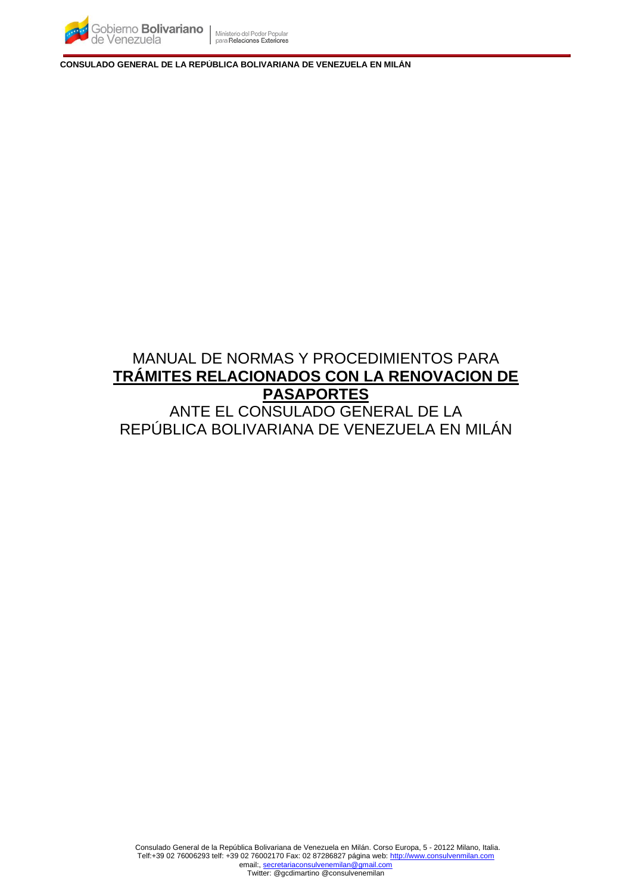

**CONSULADO GENERAL DE LA REPÚBLICA BOLIVARIANA DE VENEZUELA EN MILÁN**

# MANUAL DE NORMAS Y PROCEDIMIENTOS PARA **TRÁMITES RELACIONADOS CON LA RENOVACION DE PASAPORTES** ANTE EL CONSULADO GENERAL DE LA REPÚBLICA BOLIVARIANA DE VENEZUELA EN MILÁN

Consulado General de la República Bolivariana de Venezuela en Milán. Corso Europa, 5 - 20122 Milano, Italia. Telf:+39 02 76006293 telf: +39 02 76002170 Fax: 02 87286827 página web[: http://www.consulvenmilan.com](http://www.consulvenmilan.com/) email:, [secretariaconsulvenemilan@gmail.com](mailto:secretariaconsulvenemilan@gmail.com)

Twitter: @gcdimartino @consulvenemilan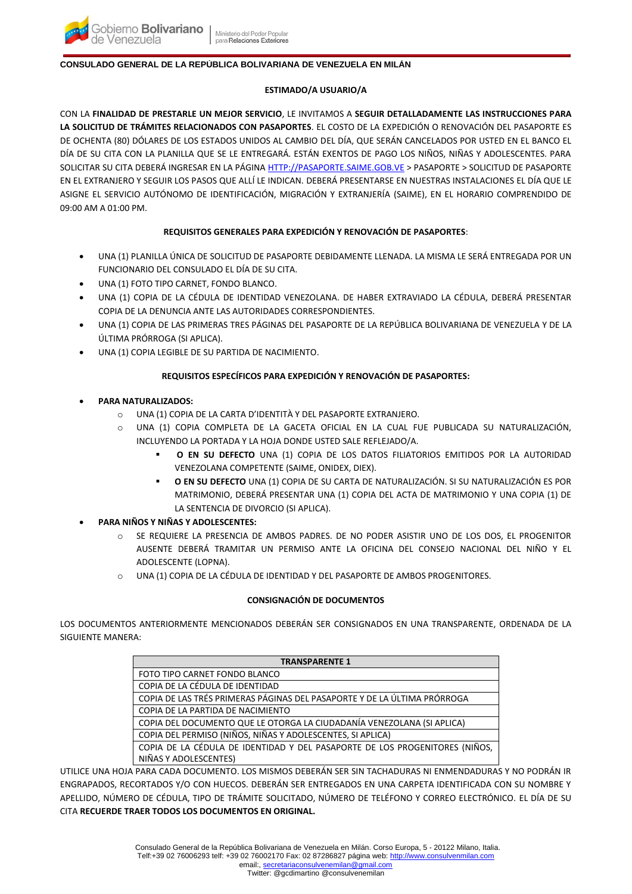## **CONSULADO GENERAL DE LA REPÚBLICA BOLIVARIANA DE VENEZUELA EN MILÁN**

#### **ESTIMADO/A USUARIO/A**

CON LA **FINALIDAD DE PRESTARLE UN MEJOR SERVICIO**, LE INVITAMOS A **SEGUIR DETALLADAMENTE LAS INSTRUCCIONES PARA LA SOLICITUD DE TRÁMITES RELACIONADOS CON PASAPORTES**. EL COSTO DE LA EXPEDICIÓN O RENOVACIÓN DEL PASAPORTE ES DE OCHENTA (80) DÓLARES DE LOS ESTADOS UNIDOS AL CAMBIO DEL DÍA, QUE SERÁN CANCELADOS POR USTED EN EL BANCO EL DÍA DE SU CITA CON LA PLANILLA QUE SE LE ENTREGARÁ. ESTÁN EXENTOS DE PAGO LOS NIÑOS, NIÑAS Y ADOLESCENTES. PARA SOLICITAR SU CITA DEBERÁ INGRESAR EN LA PÁGIN[A HTTP://PASAPORTE.SAIME.GOB.VE](http://pasaporte.saime.gob.ve/) > PASAPORTE > SOLICITUD DE PASAPORTE EN EL EXTRANJERO Y SEGUIR LOS PASOS QUE ALLÍ LE INDICAN. DEBERÁ PRESENTARSE EN NUESTRAS INSTALACIONES EL DÍA QUE LE ASIGNE EL SERVICIO AUTÓNOMO DE IDENTIFICACIÓN, MIGRACIÓN Y EXTRANJERÍA (SAIME), EN EL HORARIO COMPRENDIDO DE 09:00 AM A 01:00 PM.

# **REQUISITOS GENERALES PARA EXPEDICIÓN Y RENOVACIÓN DE PASAPORTES**:

- UNA (1) PLANILLA ÚNICA DE SOLICITUD DE PASAPORTE DEBIDAMENTE LLENADA. LA MISMA LE SERÁ ENTREGADA POR UN FUNCIONARIO DEL CONSULADO EL DÍA DE SU CITA.
- UNA (1) FOTO TIPO CARNET, FONDO BLANCO.
- UNA (1) COPIA DE LA CÉDULA DE IDENTIDAD VENEZOLANA. DE HABER EXTRAVIADO LA CÉDULA, DEBERÁ PRESENTAR COPIA DE LA DENUNCIA ANTE LAS AUTORIDADES CORRESPONDIENTES.
- UNA (1) COPIA DE LAS PRIMERAS TRES PÁGINAS DEL PASAPORTE DE LA REPÚBLICA BOLIVARIANA DE VENEZUELA Y DE LA ÚLTIMA PRÓRROGA (SI APLICA).
- UNA (1) COPIA LEGIBLE DE SU PARTIDA DE NACIMIENTO.

# **REQUISITOS ESPECÍFICOS PARA EXPEDICIÓN Y RENOVACIÓN DE PASAPORTES:**

# • **PARA NATURALIZADOS:**

- o UNA (1) COPIA DE LA CARTA D'IDENTITÀ Y DEL PASAPORTE EXTRANJERO.
- o UNA (1) COPIA COMPLETA DE LA GACETA OFICIAL EN LA CUAL FUE PUBLICADA SU NATURALIZACIÓN, INCLUYENDO LA PORTADA Y LA HOJA DONDE USTED SALE REFLEJADO/A.
	- **O EN SU DEFECTO** UNA (1) COPIA DE LOS DATOS FILIATORIOS EMITIDOS POR LA AUTORIDAD VENEZOLANA COMPETENTE (SAIME, ONIDEX, DIEX).
	- **O EN SU DEFECTO** UNA (1) COPIA DE SU CARTA DE NATURALIZACIÓN. SI SU NATURALIZACIÓN ES POR MATRIMONIO, DEBERÁ PRESENTAR UNA (1) COPIA DEL ACTA DE MATRIMONIO Y UNA COPIA (1) DE LA SENTENCIA DE DIVORCIO (SI APLICA).

• **PARA NIÑOS Y NIÑAS Y ADOLESCENTES:**

- SE REQUIERE LA PRESENCIA DE AMBOS PADRES. DE NO PODER ASISTIR UNO DE LOS DOS, EL PROGENITOR AUSENTE DEBERÁ TRAMITAR UN PERMISO ANTE LA OFICINA DEL CONSEJO NACIONAL DEL NIÑO Y EL ADOLESCENTE (LOPNA).
- o UNA (1) COPIA DE LA CÉDULA DE IDENTIDAD Y DEL PASAPORTE DE AMBOS PROGENITORES.

## **CONSIGNACIÓN DE DOCUMENTOS**

LOS DOCUMENTOS ANTERIORMENTE MENCIONADOS DEBERÁN SER CONSIGNADOS EN UNA TRANSPARENTE, ORDENADA DE LA SIGUIENTE MANERA:

| <b>TRANSPARENTE 1</b>                                                       |
|-----------------------------------------------------------------------------|
| FOTO TIPO CARNET FONDO BLANCO                                               |
| COPIA DE LA CÉDULA DE IDENTIDAD                                             |
| COPIA DE LAS TRÉS PRIMERAS PÁGINAS DEL PASAPORTE Y DE LA ÚLTIMA PRÓRROGA    |
| COPIA DE LA PARTIDA DE NACIMIENTO                                           |
| COPIA DEL DOCUMENTO QUE LE OTORGA LA CIUDADANÍA VENEZOLANA (SI APLICA)      |
| COPIA DEL PERMISO (NIÑOS, NIÑAS Y ADOLESCENTES, SI APLICA)                  |
| COPIA DE LA CÉDULA DE IDENTIDAD Y DEL PASAPORTE DE LOS PROGENITORES (NIÑOS, |
| NIÑAS Y ADOLESCENTES)                                                       |

UTILICE UNA HOJA PARA CADA DOCUMENTO. LOS MISMOS DEBERÁN SER SIN TACHADURAS NI ENMENDADURAS Y NO PODRÁN IR ENGRAPADOS, RECORTADOS Y/O CON HUECOS. DEBERÁN SER ENTREGADOS EN UNA CARPETA IDENTIFICADA CON SU NOMBRE Y APELLIDO, NÚMERO DE CÉDULA, TIPO DE TRÁMITE SOLICITADO, NÚMERO DE TELÉFONO Y CORREO ELECTRÓNICO. EL DÍA DE SU CITA **RECUERDE TRAER TODOS LOS DOCUMENTOS EN ORIGINAL.**